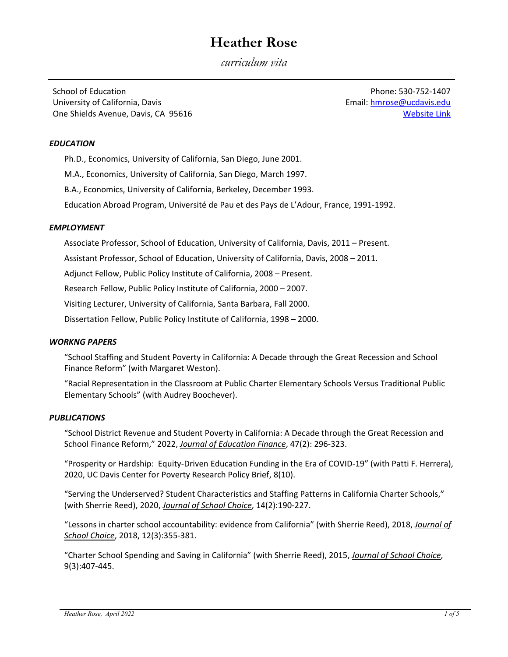# **Heather Rose**

*curriculum vita* 

School of Education University of California, Davis One Shields Avenue, Davis, CA 95616

Phone: 530‐752‐1407 Email: hmrose@ucdavis.edu Website Link

## *EDUCATION*

Ph.D., Economics, University of California, San Diego, June 2001.

M.A., Economics, University of California, San Diego, March 1997.

B.A., Economics, University of California, Berkeley, December 1993.

Education Abroad Program, Université de Pau et des Pays de L'Adour, France, 1991‐1992.

## *EMPLOYMENT*

Associate Professor, School of Education, University of California, Davis, 2011 – Present.

Assistant Professor, School of Education, University of California, Davis, 2008 – 2011.

Adjunct Fellow, Public Policy Institute of California, 2008 – Present.

Research Fellow, Public Policy Institute of California, 2000 – 2007.

Visiting Lecturer, University of California, Santa Barbara, Fall 2000.

Dissertation Fellow, Public Policy Institute of California, 1998 – 2000.

## *WORKNG PAPERS*

"School Staffing and Student Poverty in California: A Decade through the Great Recession and School Finance Reform" (with Margaret Weston).

"Racial Representation in the Classroom at Public Charter Elementary Schools Versus Traditional Public Elementary Schools" (with Audrey Boochever).

## *PUBLICATIONS*

"School District Revenue and Student Poverty in California: A Decade through the Great Recession and School Finance Reform," 2022, *Journal of Education Finance*, 47(2): 296‐323.

"Prosperity or Hardship: Equity‐Driven Education Funding in the Era of COVID‐19" (with Patti F. Herrera), 2020, UC Davis Center for Poverty Research Policy Brief, 8(10).

"Serving the Underserved? Student Characteristics and Staffing Patterns in California Charter Schools," (with Sherrie Reed), 2020, *Journal of School Choice*, 14(2):190‐227.

"Lessons in charter school accountability: evidence from California" (with Sherrie Reed), 2018, *Journal of School Choice*, 2018, 12(3):355‐381.

"Charter School Spending and Saving in California" (with Sherrie Reed), 2015, *Journal of School Choice*, 9(3):407‐445.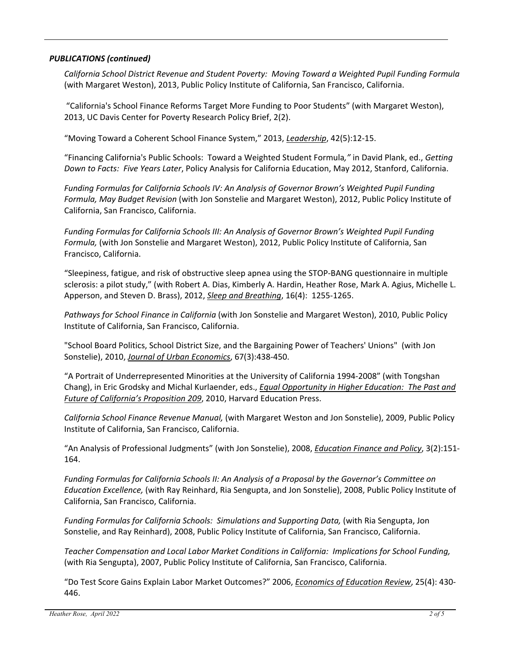## *PUBLICATIONS (continued)*

*California School District Revenue and Student Poverty: Moving Toward a Weighted Pupil Funding Formula* (with Margaret Weston), 2013, Public Policy Institute of California, San Francisco, California.

"California's School Finance Reforms Target More Funding to Poor Students" (with Margaret Weston), 2013, UC Davis Center for Poverty Research Policy Brief, 2(2).

"Moving Toward a Coherent School Finance System," 2013, *Leadership*, 42(5):12‐15.

"Financing California's Public Schools: Toward a Weighted Student Formula*,"* in David Plank, ed., *Getting Down to Facts: Five Years Later*, Policy Analysis for California Education, May 2012, Stanford, California.

*Funding Formulas for California Schools IV: An Analysis of Governor Brown's Weighted Pupil Funding Formula, May Budget Revision* (with Jon Sonstelie and Margaret Weston), 2012, Public Policy Institute of California, San Francisco, California.

*Funding Formulas for California Schools III: An Analysis of Governor Brown's Weighted Pupil Funding Formula,* (with Jon Sonstelie and Margaret Weston), 2012, Public Policy Institute of California, San Francisco, California.

"Sleepiness, fatigue, and risk of obstructive sleep apnea using the STOP‐BANG questionnaire in multiple sclerosis: a pilot study," (with Robert A. Dias, Kimberly A. Hardin, Heather Rose, Mark A. Agius, Michelle L. Apperson, and Steven D. Brass), 2012, *Sleep and Breathing*, 16(4): 1255‐1265.

*Pathways for School Finance in California* (with Jon Sonstelie and Margaret Weston), 2010, Public Policy Institute of California, San Francisco, California.

"School Board Politics, School District Size, and the Bargaining Power of Teachers' Unions" (with Jon Sonstelie), 2010, *Journal of Urban Economics*, 67(3):438‐450.

"A Portrait of Underrepresented Minorities at the University of California 1994‐2008" (with Tongshan Chang), in Eric Grodsky and Michal Kurlaender, eds., *Equal Opportunity in Higher Education: The Past and Future of California's Proposition 209*, 2010, Harvard Education Press.

*California School Finance Revenue Manual,* (with Margaret Weston and Jon Sonstelie), 2009, Public Policy Institute of California, San Francisco, California.

"An Analysis of Professional Judgments" (with Jon Sonstelie), 2008, *Education Finance and Policy*, 3(2):151‐ 164.

*Funding Formulas for California Schools II: An Analysis of a Proposal by the Governor's Committee on Education Excellence,* (with Ray Reinhard, Ria Sengupta, and Jon Sonstelie), 2008, Public Policy Institute of California, San Francisco, California.

*Funding Formulas for California Schools: Simulations and Supporting Data,* (with Ria Sengupta, Jon Sonstelie, and Ray Reinhard), 2008, Public Policy Institute of California, San Francisco, California.

*Teacher Compensation and Local Labor Market Conditions in California: Implications for School Funding,* (with Ria Sengupta), 2007, Public Policy Institute of California, San Francisco, California.

"Do Test Score Gains Explain Labor Market Outcomes?" 2006, *Economics of Education Review*, 25(4): 430‐ 446.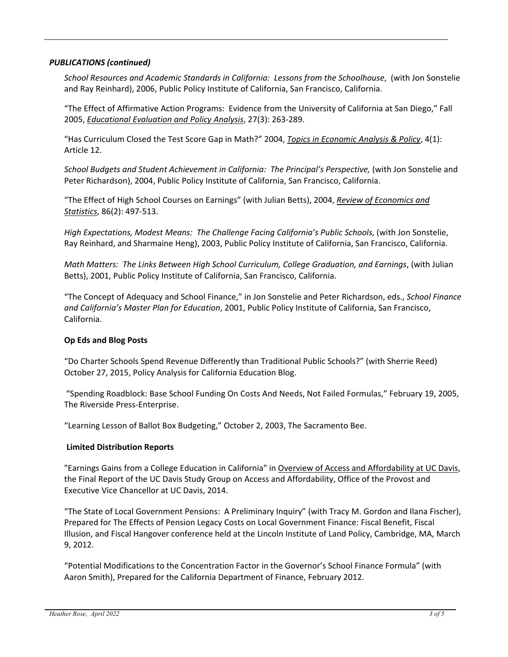## *PUBLICATIONS (continued)*

*School Resources and Academic Standards in California: Lessons from the Schoolhouse*, (with Jon Sonstelie and Ray Reinhard), 2006, Public Policy Institute of California, San Francisco, California.

"The Effect of Affirmative Action Programs: Evidence from the University of California at San Diego," Fall 2005, *Educational Evaluation and Policy Analysis*, 27(3): 263‐289.

"Has Curriculum Closed the Test Score Gap in Math?" 2004, *Topics in Economic Analysis & Policy*, 4(1): Article 12.

*School Budgets and Student Achievement in California: The Principal's Perspective,* (with Jon Sonstelie and Peter Richardson), 2004, Public Policy Institute of California, San Francisco, California.

"The Effect of High School Courses on Earnings" (with Julian Betts), 2004, *Review of Economics and Statistics*, 86(2): 497‐513.

*High Expectations, Modest Means: The Challenge Facing California's Public Schools*, (with Jon Sonstelie, Ray Reinhard, and Sharmaine Heng), 2003, Public Policy Institute of California, San Francisco, California.

*Math Matters: The Links Between High School Curriculum, College Graduation, and Earnings*, (with Julian Betts), 2001, Public Policy Institute of California, San Francisco, California.

"The Concept of Adequacy and School Finance," in Jon Sonstelie and Peter Richardson, eds., *School Finance and California's Master Plan for Education*, 2001, Public Policy Institute of California, San Francisco, California.

## **Op Eds and Blog Posts**

"Do Charter Schools Spend Revenue Differently than Traditional Public Schools?" (with Sherrie Reed) October 27, 2015, Policy Analysis for California Education Blog.

"Spending Roadblock: Base School Funding On Costs And Needs, Not Failed Formulas," February 19, 2005, The Riverside Press‐Enterprise.

"Learning Lesson of Ballot Box Budgeting," October 2, 2003, The Sacramento Bee.

## **Limited Distribution Reports**

"Earnings Gains from a College Education in California" in Overview of Access and Affordability at UC Davis, the Final Report of the UC Davis Study Group on Access and Affordability, Office of the Provost and Executive Vice Chancellor at UC Davis, 2014.

"The State of Local Government Pensions: A Preliminary Inquiry" (with Tracy M. Gordon and Ilana Fischer), Prepared for The Effects of Pension Legacy Costs on Local Government Finance: Fiscal Benefit, Fiscal Illusion, and Fiscal Hangover conference held at the Lincoln Institute of Land Policy, Cambridge, MA, March 9, 2012.

"Potential Modifications to the Concentration Factor in the Governor's School Finance Formula" (with Aaron Smith), Prepared for the California Department of Finance, February 2012.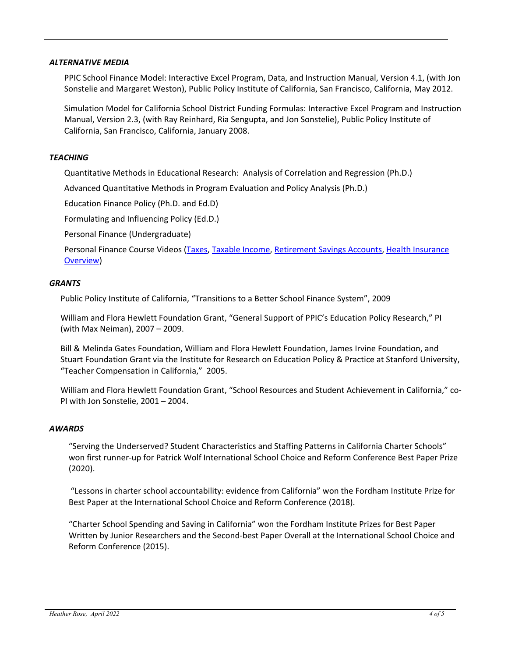#### *ALTERNATIVE MEDIA*

PPIC School Finance Model: Interactive Excel Program, Data, and Instruction Manual, Version 4.1, (with Jon Sonstelie and Margaret Weston), Public Policy Institute of California, San Francisco, California, May 2012.

Simulation Model for California School District Funding Formulas: Interactive Excel Program and Instruction Manual, Version 2.3, (with Ray Reinhard, Ria Sengupta, and Jon Sonstelie), Public Policy Institute of California, San Francisco, California, January 2008.

#### *TEACHING*

Quantitative Methods in Educational Research: Analysis of Correlation and Regression (Ph.D.)

Advanced Quantitative Methods in Program Evaluation and Policy Analysis (Ph.D.)

Education Finance Policy (Ph.D. and Ed.D)

Formulating and Influencing Policy (Ed.D.)

Personal Finance (Undergraduate)

Personal Finance Course Videos (Taxes, Taxable Income, Retirement Savings Accounts, Health Insurance Overview)

#### *GRANTS*

Public Policy Institute of California, "Transitions to a Better School Finance System", 2009

William and Flora Hewlett Foundation Grant, "General Support of PPIC's Education Policy Research," PI (with Max Neiman), 2007 – 2009.

Bill & Melinda Gates Foundation, William and Flora Hewlett Foundation, James Irvine Foundation, and Stuart Foundation Grant via the Institute for Research on Education Policy & Practice at Stanford University, "Teacher Compensation in California," 2005.

William and Flora Hewlett Foundation Grant, "School Resources and Student Achievement in California," co‐ PI with Jon Sonstelie, 2001 – 2004.

#### *AWARDS*

"Serving the Underserved? Student Characteristics and Staffing Patterns in California Charter Schools" won first runner-up for Patrick Wolf International School Choice and Reform Conference Best Paper Prize (2020).

"Lessons in charter school accountability: evidence from California" won the Fordham Institute Prize for Best Paper at the International School Choice and Reform Conference (2018).

"Charter School Spending and Saving in California" won the Fordham Institute Prizes for Best Paper Written by Junior Researchers and the Second‐best Paper Overall at the International School Choice and Reform Conference (2015).